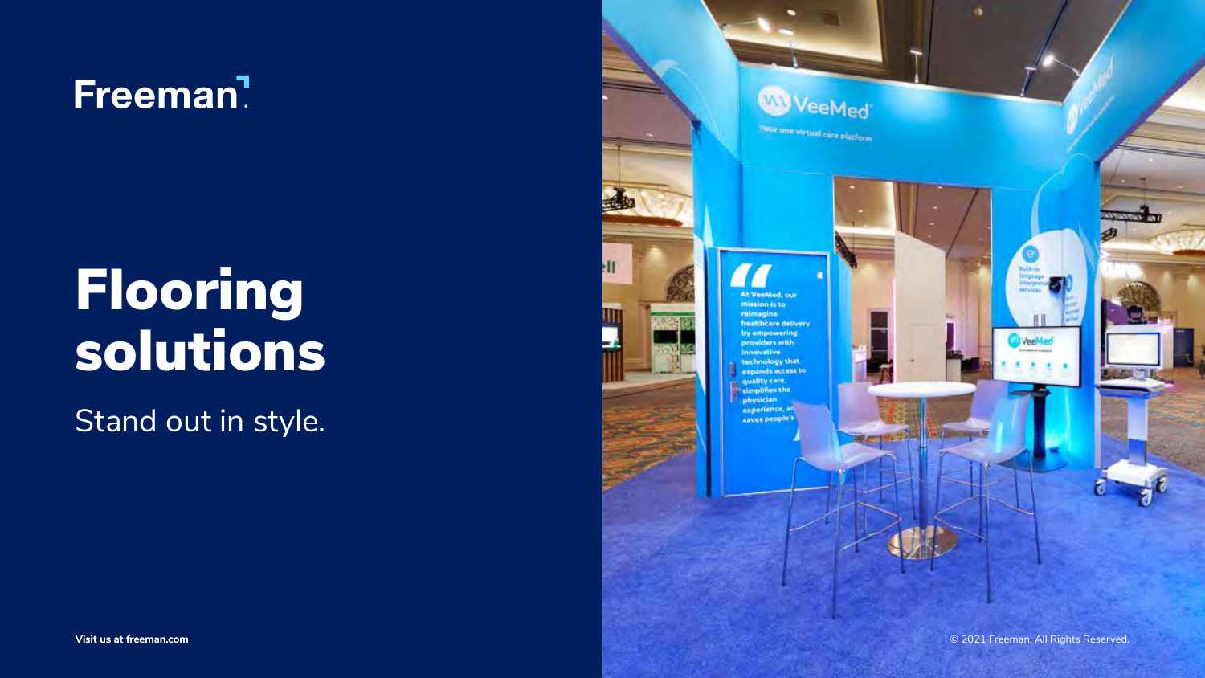



# Freeman<sup>7</sup>

# Flooring solutions

Stand out in style.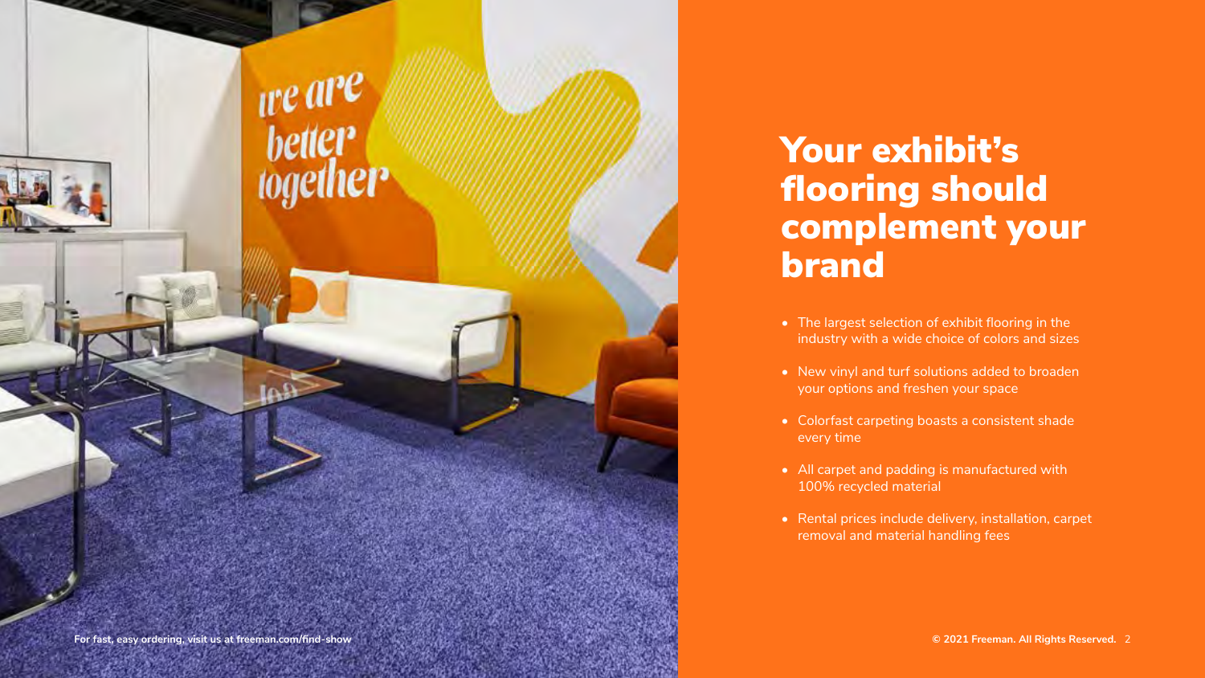### Your exhibit's flooring should complement your brand

- The largest selection of exhibit flooring in the industry with a wide choice of colors and sizes
- New vinyl and turf solutions added to broaden your options and freshen your space
- Colorfast carpeting boasts a consistent shade every time
- All carpet and padding is manufactured with 100% recycled material
- Rental prices include delivery, installation, carpet removal and material handling fees

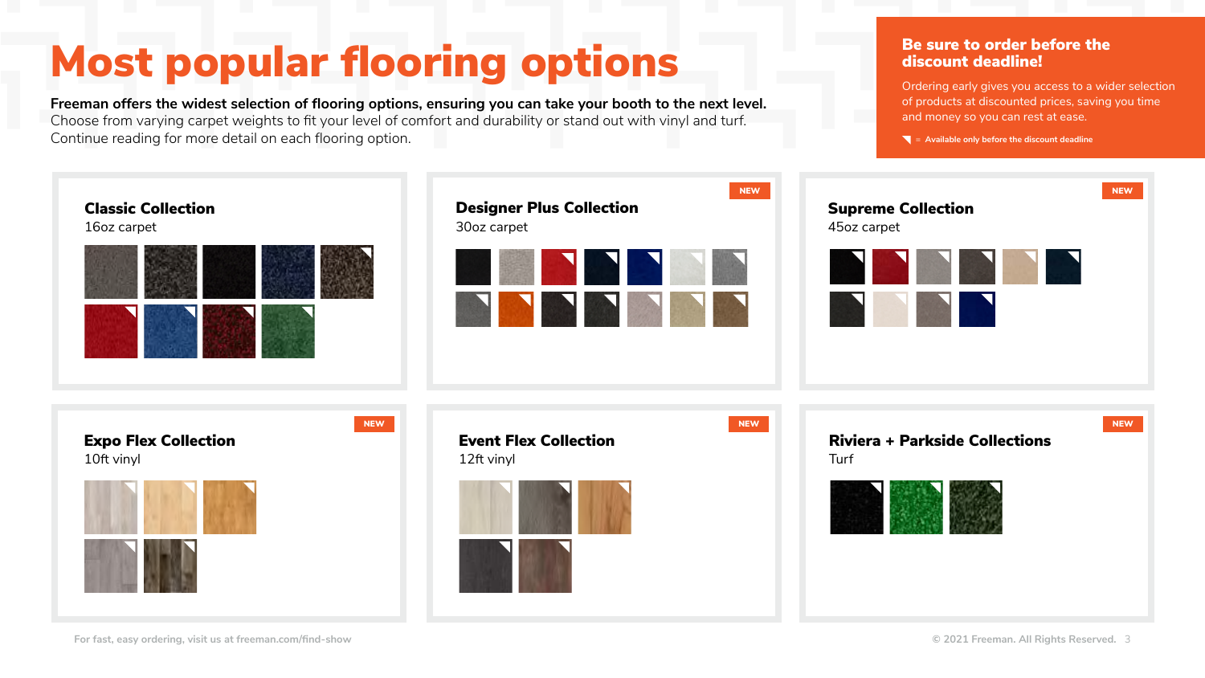# Most popular flooring options



Ordering early gives you access to a wider selection of products at discounted prices, saving you time and money so you can rest at ease.

 $\blacksquare$  = Available only before the discount deadline

**Freeman offers the widest selection of flooring options, ensuring you can take your booth to the next level.**  Choose from varying carpet weights to fit your level of comfort and durability or stand out with vinyl and turf. Continue reading for more detail on each flooring option.

#### Be sure to order before the discount deadline!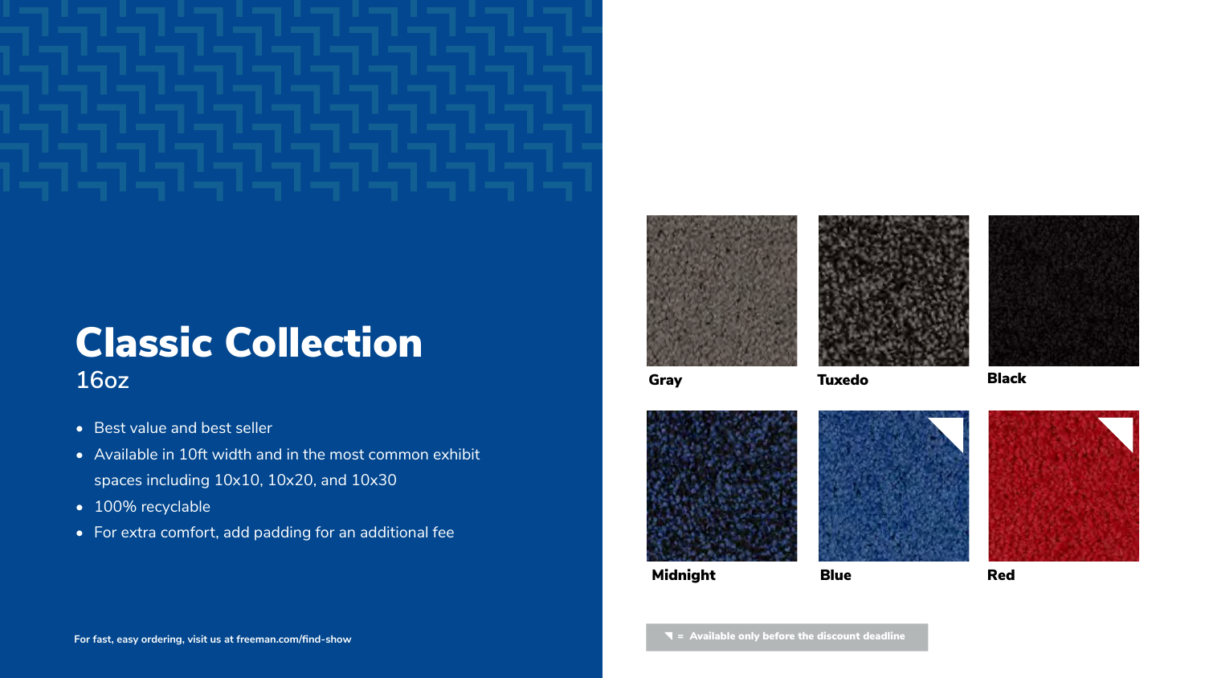### Classic Collection **16oz**

- Best value and best seller
- Available in 10ft width and in the most common exhibit spaces including 10x10, 10x20, and 10x30
- 100% recyclable
- For extra comfort, add padding for an additional fee





Gray Tuxedo Black













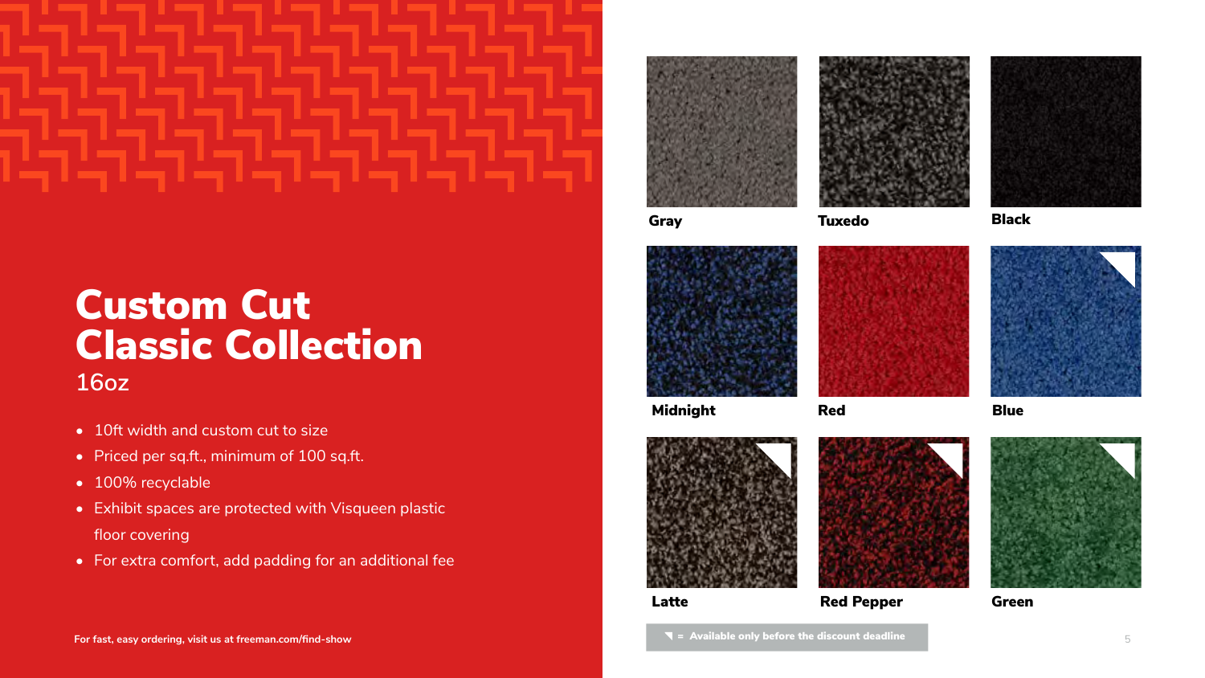### Custom Cut Classic Collection **16oz**

- 10ft width and custom cut to size
- Priced per sq.ft., minimum of 100 sq.ft.
- 100% recyclable
- Exhibit spaces are protected with Visqueen plastic floor covering
- For extra comfort, add padding for an additional fee





Gray Tuxedo Black





Red

Green

Midnight



Blue







Red Pepper

= Available only before the discount deadline **For fast, easy ordering, visit us at [freeman.com/find-show](https://www.freeman.com/find-show/)** 5



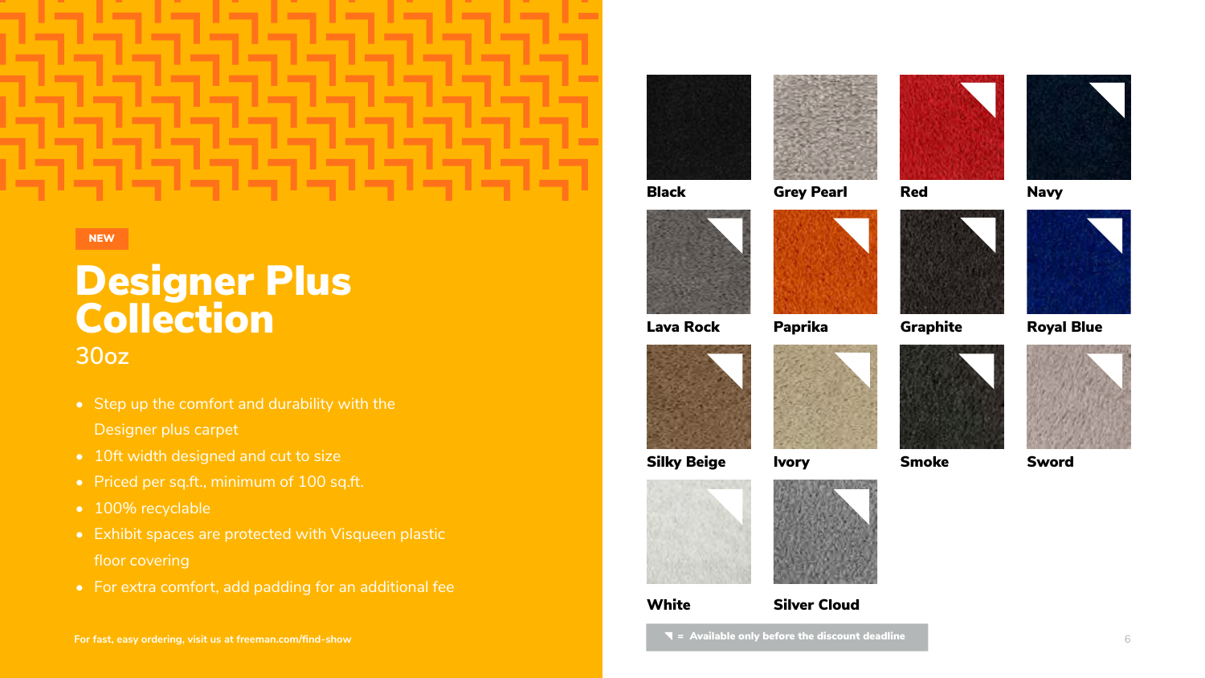### **30oz**

- Step up the comfort and durability with the Designer plus carpet
- 10ft width designed and cut to size
- Priced per sq.ft., minimum of 100 sq.ft.
- 100% recyclable
- Exhibit spaces are protected with Visqueen plastic floor covering
- For extra comfort, add padding for an additional fee

NEW

### Designer Plus **Collection**

Red











Paprika Graphite





Black Grey Pearl





Silky Beige

**White** 

**Ivory** 



Navy



#### Royal Blue





Silver Cloud

 $\blacksquare$  = Available only before the discount deadline



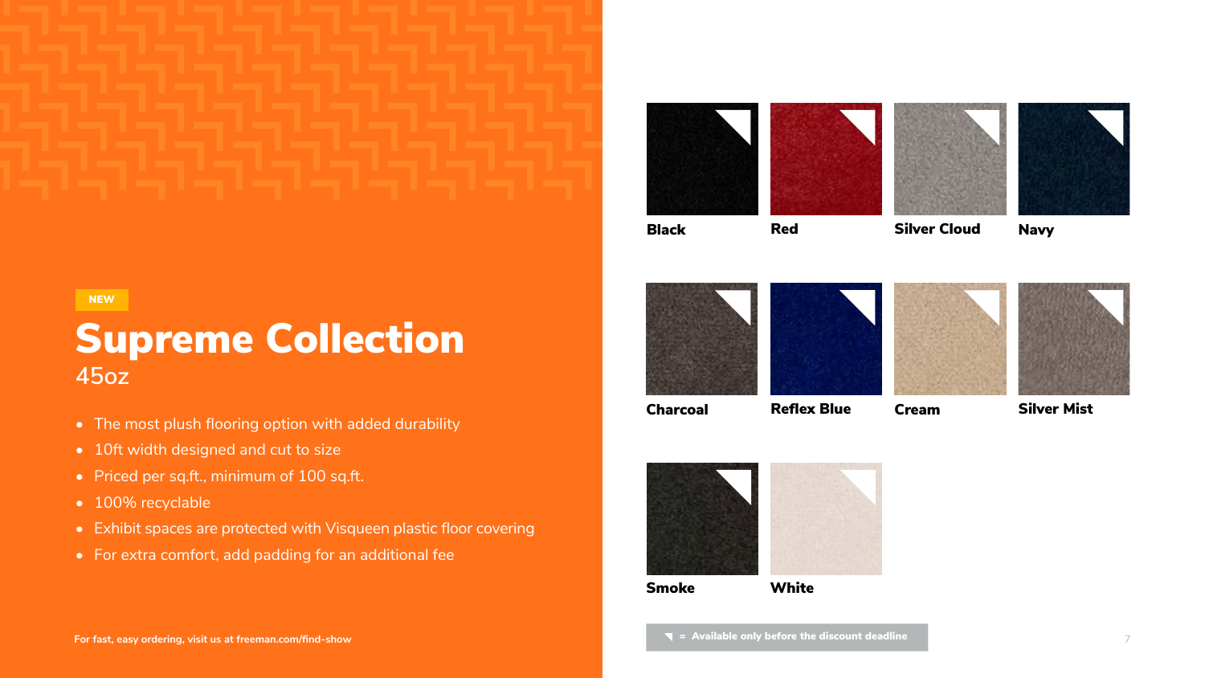



Black Red

### Supreme Collection **45oz**

- The most plush flooring option with added durability
- 10ft width designed and cut to size
- Priced per sq.ft., minimum of 100 sq.ft.
- 100% recyclable
- Exhibit spaces are protected with Visqueen plastic floor covering
- For extra comfort, add padding for an additional fee







Smoke

Charcoal Reflex Blue

White

 $\blacksquare$  = Available only before the discount deadline

Cream





Silver Cloud Navy





Silver Mist

NEW

**For fast, easy ordering, visit us at [freeman.com/find-show](https://www.freeman.com/find-show/)** 7



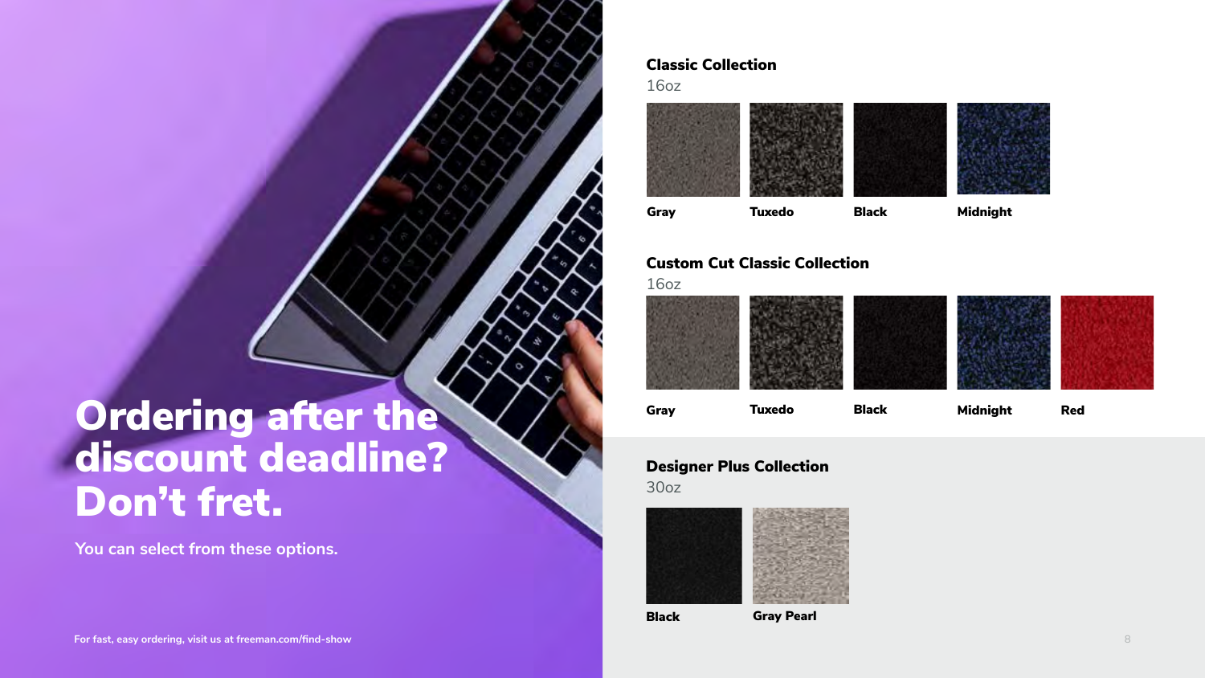### Ordering after the discount deadline? Don't fret.

**You can select from these options.**

#### Classic Collection

16oz





#### Gray Tuxedo Black Midnight

Black

### Designer Plus Collection

30oz





### Custom Cut Classic Collection

16oz





Gray Pearl



Gray Tuxedo Black Midnight Red

**For fast, easy ordering, visit us at [freeman.com/find-show](https://www.freeman.com/find-show/)** 8

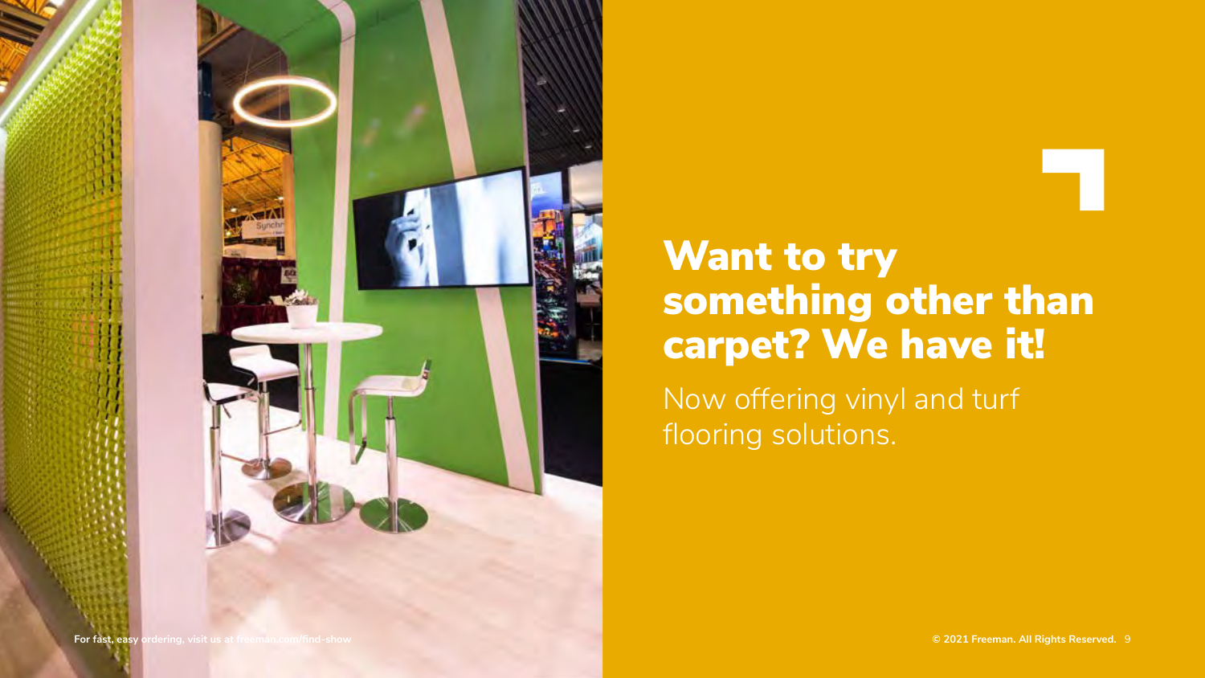flooring solutions.



### Now offering vinyl and turf Want to try something other than carpet? We have it!

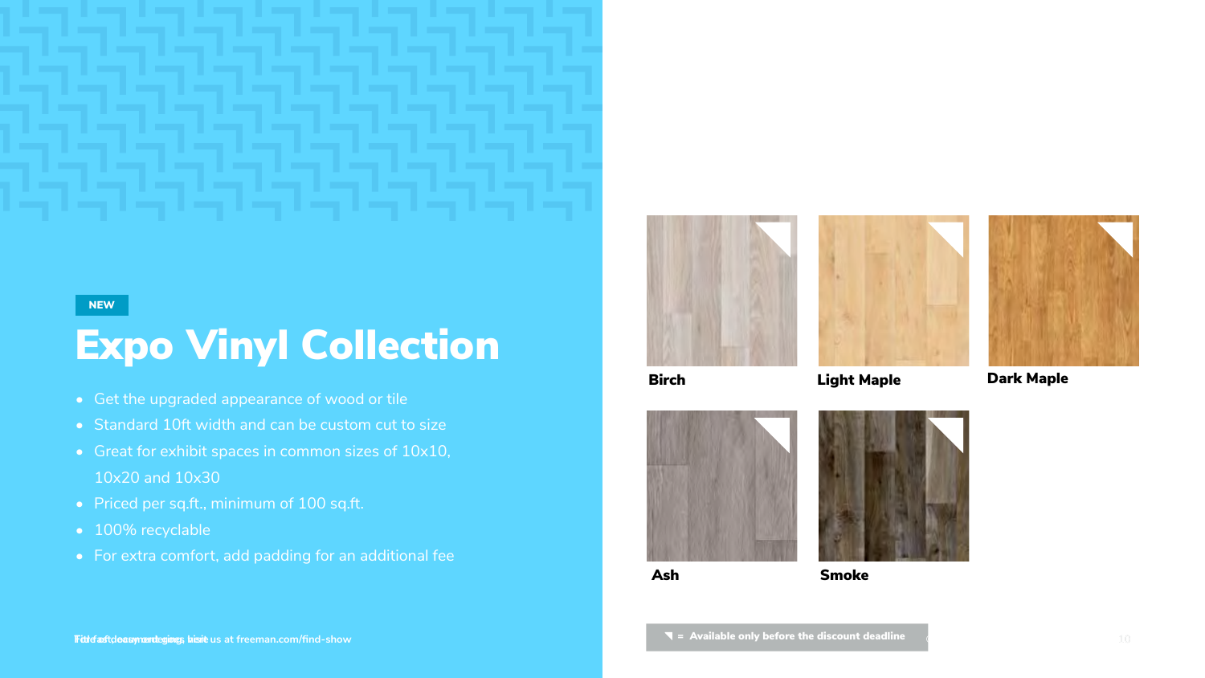## Expo Vinyl Collection

- Get the upgraded appearance of wood or tile
- Standard 10ft width and can be custom cut to size
- Great for exhibit spaces in common sizes of 10x10, 10x20 and 10x30
- Priced per sq.ft., minimum of 100 sq.ft.
- 100% recyclable
- For extra comfort, add padding for an additional fee









Birch Light Maple Dark Maple



Ash Smoke



#### NEW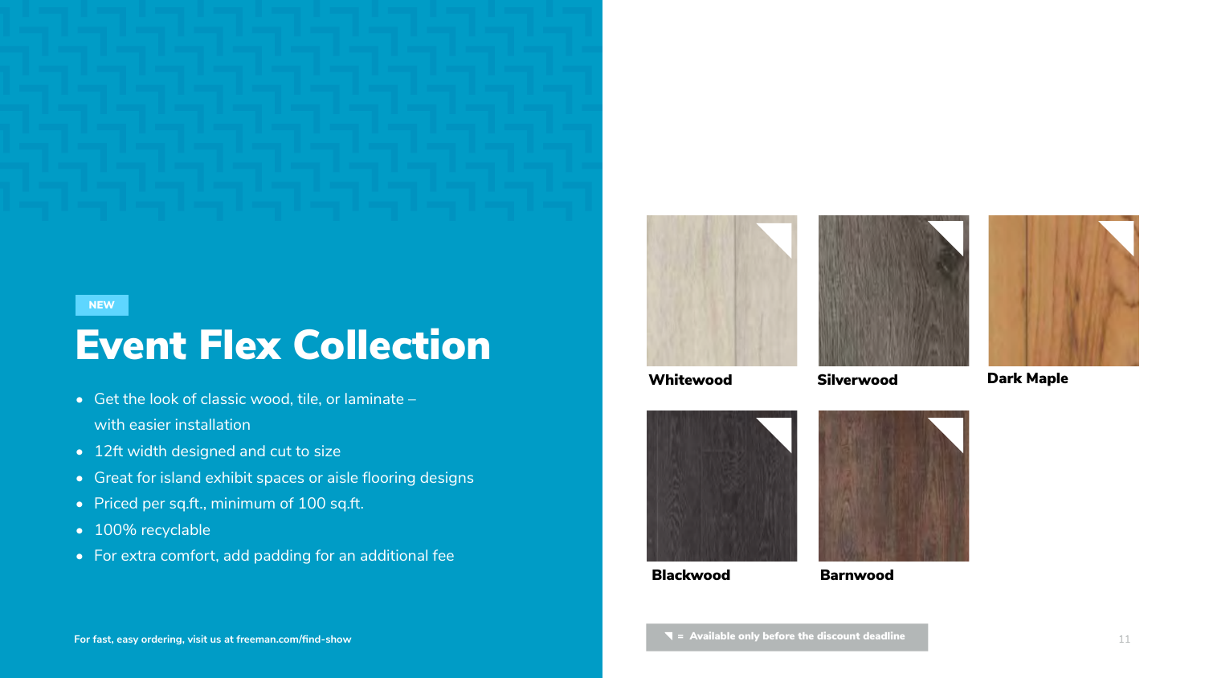## Event Flex Collection

- Get the look of classic wood, tile, or laminate with easier installation
- 12ft width designed and cut to size
- Great for island exhibit spaces or aisle flooring designs
- Priced per sq.ft., minimum of 100 sq.ft.
- 100% recyclable
- For extra comfort, add padding for an additional fee









NEW



Whitewood Silverwood Dark Maple



Blackwood Barnwood

**For fast, easy ordering, visit us at [freeman.com/find-show](https://www.freeman.com/find-show/)** 11

 $\blacktriangledown$  = Available only before the discount deadline

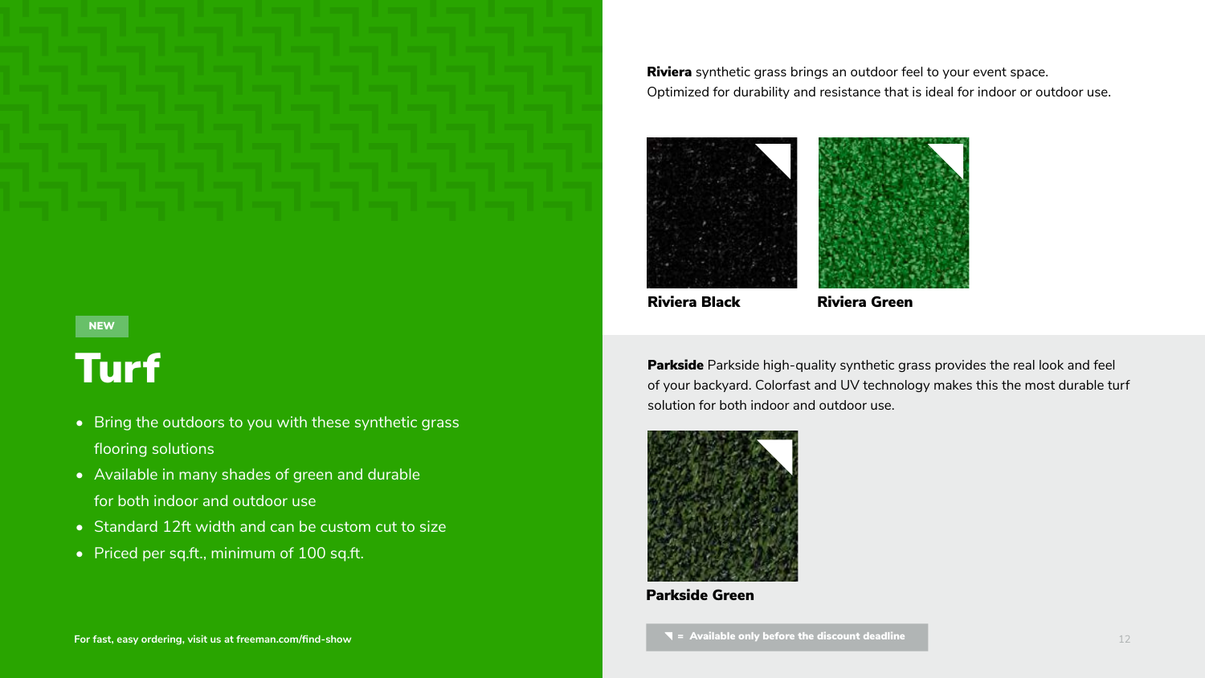## Turf

- Bring the outdoors to you with these synthetic grass flooring solutions
- Available in many shades of green and durable for both indoor and outdoor use
- [Standard 12ft width and can](mailto:solutions%40freeman.com?subject=) be custom cut to size
- Priced per sq.ft., minimum of 100 sq.ft.

Riviera synthetic grass brings an outdoor feel to your event space. Optimized for durability and resistance that is ideal for indoor or outdoor use.





Riviera Black Riviera Green



Parkside Green

For fast, easy ordering, visit us at freeman.com/find-show **For factural community of the discount deadline For fast, easy ordering, visit us at freeman.com/find-show** 



Parkside Parkside high-quality synthetic grass provides the real look and feel of your backyard. Colorfast and UV technology makes this the most durable turf solution for both indoor and outdoor use.



#### NEW